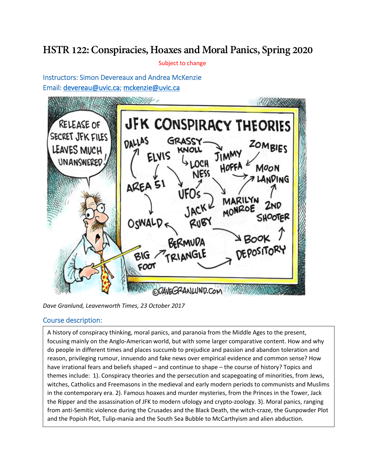## **HSTR 122:Conspiracies, Hoaxes and Moral Panics, Spring 2020**

Subject to change

Instructors: Simon Devereaux and Andrea McKenzie Email: [devereau@uvic.ca;](mailto:devereau@uvic.ca) [mckenzie@uvic.ca](mailto:mckenzie@uvic.ca)



*Dave Granlund, Leavenworth Times, 23 October 2017*

## Course description:

 $\overline{\phantom{a}}$ 

 $\overline{\phantom{a}}$ 

A history of conspiracy thinking, moral panics, and paranoia from the Middle Ages to the present, Proposed assignments: the Ripper and the assassination of JFK to modern ufology and crypto-zoology. 3). Moral panics, ranging focusing mainly on the Anglo-American world, but with some larger comparative content. How and why do people in different times and places succumb to prejudice and passion and abandon toleration and reason, privileging rumour, innuendo and fake news over empirical evidence and common sense? How have irrational fears and beliefs shaped – and continue to shape – the course of history? Topics and themes include: 1). Conspiracy theories and the persecution and scapegoating of minorities, from Jews, witches, Catholics and Freemasons in the medieval and early modern periods to communists and Muslims in the contemporary era. 2). Famous hoaxes and murder mysteries, from the Princes in the Tower, Jack from anti-Semitic violence during the Crusades and the Black Death, the witch-craze, the Gunpowder Plot and the Popish Plot, Tulip-mania and the South Sea Bubble to McCarthyism and alien abduction.